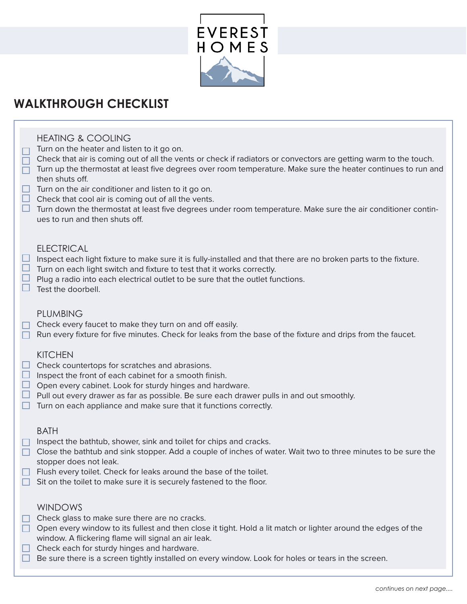

# **WALKTHROUGH CHECKLIST**

# HEATING & COOLING

- $\Box$  Turn on the heater and listen to it go on.
- $\Box$  Check that air is coming out of all the vents or check if radiators or convectors are getting warm to the touch.
- Turn up the thermostat at least five degrees over room temperature. Make sure the heater continues to run and then shuts off.
- $\Box$  Turn on the air conditioner and listen to it go on.
- $\Box$  Check that cool air is coming out of all the vents.
- $\Box$  Turn down the thermostat at least five degrees under room temperature. Make sure the air conditioner continues to run and then shuts off.

## ELECTRICAL

- $\Box$  Inspect each light fixture to make sure it is fully-installed and that there are no broken parts to the fixture.
- $\Box$  Turn on each light switch and fixture to test that it works correctly.
- $\Box$  Plug a radio into each electrical outlet to be sure that the outlet functions.
- $\Box$  Test the doorbell.

#### PLUMBING

- $\Box$  Check every faucet to make they turn on and off easily.
- $\Box$  Run every fixture for five minutes. Check for leaks from the base of the fixture and drips from the faucet.

## **KITCHEN**

- $\Box$  Check countertops for scratches and abrasions.
- $\Box$  Inspect the front of each cabinet for a smooth finish.
- $\Box$  Open every cabinet. Look for sturdy hinges and hardware.
- $\Box$  Pull out every drawer as far as possible. Be sure each drawer pulls in and out smoothly.
- $\Box$  Turn on each appliance and make sure that it functions correctly.

#### BATH

- $\Box$  Inspect the bathtub, shower, sink and toilet for chips and cracks.
- $\Box$  Close the bathtub and sink stopper. Add a couple of inches of water. Wait two to three minutes to be sure the stopper does not leak.
- $\Box$  Flush every toilet. Check for leaks around the base of the toilet.
- $\Box$  Sit on the toilet to make sure it is securely fastened to the floor.

## WINDOWS

- $\Box$  Check glass to make sure there are no cracks.
- $\Box$  Open every window to its fullest and then close it tight. Hold a lit match or lighter around the edges of the window. A flickering flame will signal an air leak.
- $\Box$  Check each for sturdy hinges and hardware.
- $\Box$  Be sure there is a screen tightly installed on every window. Look for holes or tears in the screen.